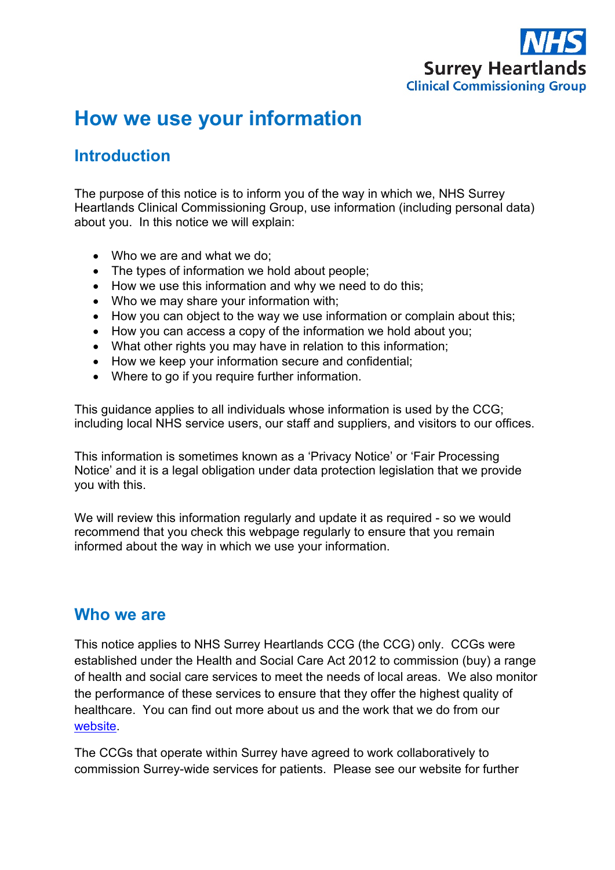

# **How we use your information**

### **Introduction**

The purpose of this notice is to inform you of the way in which we, NHS Surrey Heartlands Clinical Commissioning Group, use information (including personal data) about you. In this notice we will explain:

- Who we are and what we do;
- The types of information we hold about people;
- How we use this information and why we need to do this;
- Who we may share your information with;
- How you can object to the way we use information or complain about this;
- How you can access a copy of the information we hold about you;
- What other rights you may have in relation to this information:
- How we keep your information secure and confidential;
- Where to go if you require further information.

This guidance applies to all individuals whose information is used by the CCG; including local NHS service users, our staff and suppliers, and visitors to our offices.

This information is sometimes known as a 'Privacy Notice' or 'Fair Processing Notice' and it is a legal obligation under data protection legislation that we provide you with this.

We will review this information regularly and update it as required - so we would recommend that you check this webpage regularly to ensure that you remain informed about the way in which we use your information.

#### **Who we are**

This notice applies to NHS Surrey Heartlands CCG (the CCG) only. CCGs were established under the Health and Social Care Act 2012 to commission (buy) a range of health and social care services to meet the needs of local areas. We also monitor the performance of these services to ensure that they offer the highest quality of healthcare. You can find out more about us and the work that we do from our [website.](http://www.surreyheartlandsccg.nhs.uk/)

The CCGs that operate within Surrey have agreed to work collaboratively to commission Surrey-wide services for patients. Please see our website for further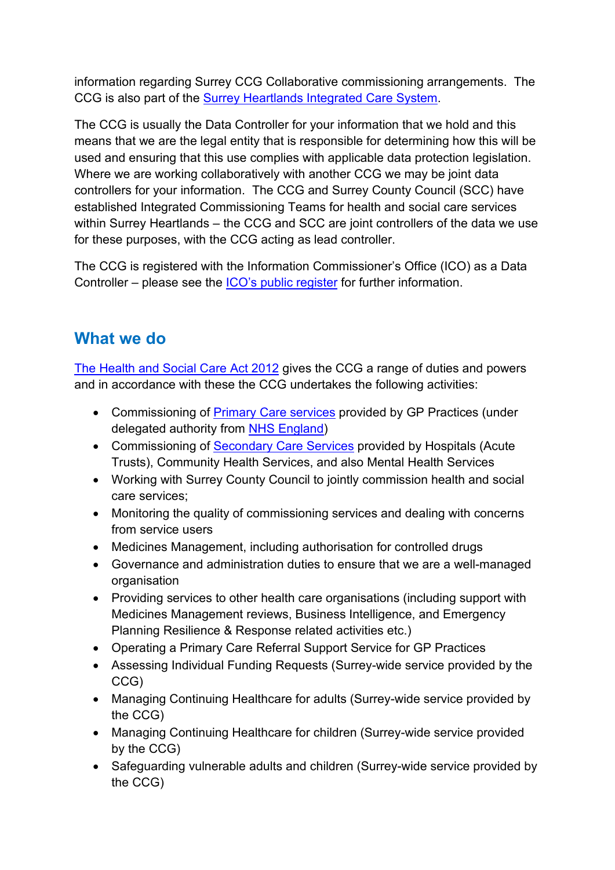information regarding Surrey CCG Collaborative commissioning arrangements. The CCG is also part of the [Surrey Heartlands Integrated Care System.](https://www.surreyheartlands.uk/)

The CCG is usually the Data Controller for your information that we hold and this means that we are the legal entity that is responsible for determining how this will be used and ensuring that this use complies with applicable data protection legislation. Where we are working collaboratively with another CCG we may be joint data controllers for your information. The CCG and Surrey County Council (SCC) have established Integrated Commissioning Teams for health and social care services within Surrey Heartlands – the CCG and SCC are joint controllers of the data we use for these purposes, with the CCG acting as lead controller.

The CCG is registered with the Information Commissioner's Office (ICO) as a Data Controller – please see the [ICO's public register](https://ico.org.uk/about-the-ico/what-we-do/register-of-data-controllers/) for further information.

## **What we do**

[The Health and Social Care Act 2012](http://www.legislation.gov.uk/ukpga/2012/7/contents/enacted) gives the CCG a range of duties and powers and in accordance with these the CCG undertakes the following activities:

- Commissioning of [Primary Care services](https://www.england.nhs.uk/participation/get-involved/how/primarycare/) provided by GP Practices (under delegated authority from [NHS England\)](https://www.england.nhs.uk/about/)
- Commissioning of [Secondary Care Services](http://nhsproviders.org/topics/delivery-and-performance/the-nhs-provider-sector) provided by Hospitals (Acute Trusts), Community Health Services, and also Mental Health Services
- Working with Surrey County Council to jointly commission health and social care services;
- Monitoring the quality of commissioning services and dealing with concerns from service users
- Medicines Management, including authorisation for controlled drugs
- Governance and administration duties to ensure that we are a well-managed organisation
- Providing services to other health care organisations (including support with Medicines Management reviews, Business Intelligence, and Emergency Planning Resilience & Response related activities etc.)
- Operating a Primary Care Referral Support Service for GP Practices
- Assessing Individual Funding Requests (Surrey-wide service provided by the CCG)
- Managing Continuing Healthcare for adults (Surrey-wide service provided by the CCG)
- Managing Continuing Healthcare for children (Surrey-wide service provided by the CCG)
- Safeguarding vulnerable adults and children (Surrey-wide service provided by the CCG)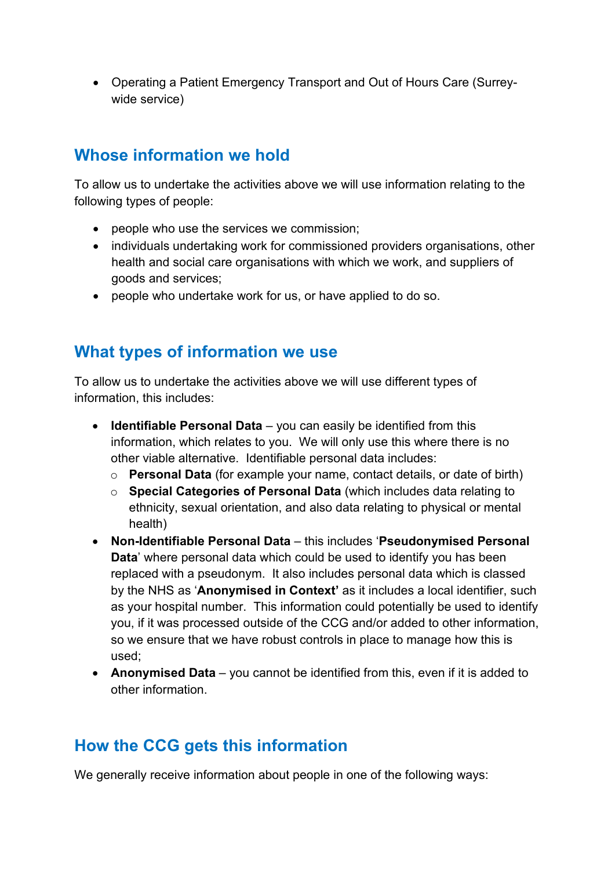• Operating a Patient Emergency Transport and Out of Hours Care (Surreywide service)

### **Whose information we hold**

To allow us to undertake the activities above we will use information relating to the following types of people:

- people who use the services we commission;
- individuals undertaking work for commissioned providers organisations, other health and social care organisations with which we work, and suppliers of goods and services;
- people who undertake work for us, or have applied to do so.

#### **What types of information we use**

To allow us to undertake the activities above we will use different types of information, this includes:

- **Identifiable Personal Data** you can easily be identified from this information, which relates to you. We will only use this where there is no other viable alternative. Identifiable personal data includes:
	- o **Personal Data** (for example your name, contact details, or date of birth)
	- o **Special Categories of Personal Data** (which includes data relating to ethnicity, sexual orientation, and also data relating to physical or mental health)
- **Non-Identifiable Personal Data** this includes '**Pseudonymised Personal Data**' where personal data which could be used to identify you has been replaced with a pseudonym. It also includes personal data which is classed by the NHS as '**Anonymised in Context'** as it includes a local identifier, such as your hospital number. This information could potentially be used to identify you, if it was processed outside of the CCG and/or added to other information, so we ensure that we have robust controls in place to manage how this is used;
- **Anonymised Data** you cannot be identified from this, even if it is added to other information.

### **How the CCG gets this information**

We generally receive information about people in one of the following ways: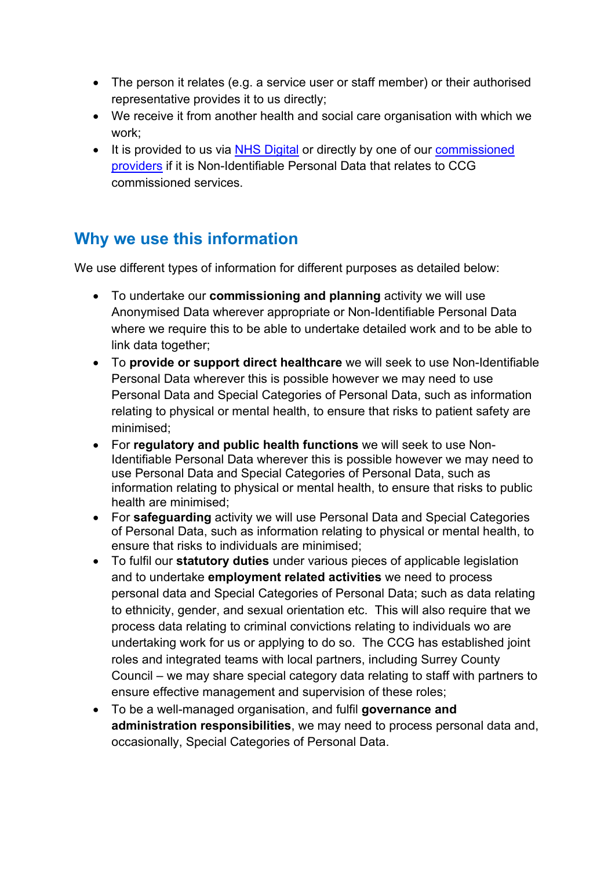- The person it relates (e.g. a service user or staff member) or their authorised representative provides it to us directly;
- We receive it from another health and social care organisation with which we work;
- It is provided to us via [NHS Digital](https://digital.nhs.uk/about-nhs-digital) or directly by one of our commissioned [providers](http://www.guildfordandwaverleyccg.nhs.uk/about.aspx?t=6) if it is Non-Identifiable Personal Data that relates to CCG commissioned services.

### **Why we use this information**

We use different types of information for different purposes as detailed below:

- To undertake our **commissioning and planning** activity we will use Anonymised Data wherever appropriate or Non-Identifiable Personal Data where we require this to be able to undertake detailed work and to be able to link data together;
- To **provide or support direct healthcare** we will seek to use Non-Identifiable Personal Data wherever this is possible however we may need to use Personal Data and Special Categories of Personal Data, such as information relating to physical or mental health, to ensure that risks to patient safety are minimised;
- For **regulatory and public health functions** we will seek to use Non-Identifiable Personal Data wherever this is possible however we may need to use Personal Data and Special Categories of Personal Data, such as information relating to physical or mental health, to ensure that risks to public health are minimised;
- For **safeguarding** activity we will use Personal Data and Special Categories of Personal Data, such as information relating to physical or mental health, to ensure that risks to individuals are minimised;
- To fulfil our **statutory duties** under various pieces of applicable legislation and to undertake **employment related activities** we need to process personal data and Special Categories of Personal Data; such as data relating to ethnicity, gender, and sexual orientation etc. This will also require that we process data relating to criminal convictions relating to individuals wo are undertaking work for us or applying to do so. The CCG has established joint roles and integrated teams with local partners, including Surrey County Council – we may share special category data relating to staff with partners to ensure effective management and supervision of these roles;
- To be a well-managed organisation, and fulfil **governance and administration responsibilities**, we may need to process personal data and, occasionally, Special Categories of Personal Data.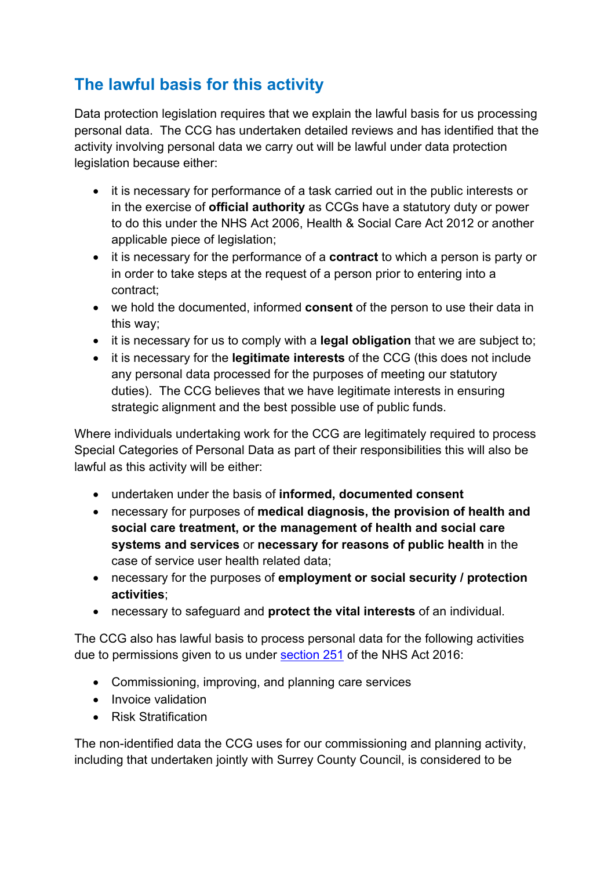# **The lawful basis for this activity**

Data protection legislation requires that we explain the lawful basis for us processing personal data. The CCG has undertaken detailed reviews and has identified that the activity involving personal data we carry out will be lawful under data protection legislation because either:

- it is necessary for performance of a task carried out in the public interests or in the exercise of **official authority** as CCGs have a statutory duty or power to do this under the NHS Act 2006, Health & Social Care Act 2012 or another applicable piece of legislation;
- it is necessary for the performance of a **contract** to which a person is party or in order to take steps at the request of a person prior to entering into a contract;
- we hold the documented, informed **consent** of the person to use their data in this way;
- it is necessary for us to comply with a **legal obligation** that we are subject to;
- it is necessary for the **legitimate interests** of the CCG (this does not include any personal data processed for the purposes of meeting our statutory duties). The CCG believes that we have legitimate interests in ensuring strategic alignment and the best possible use of public funds.

Where individuals undertaking work for the CCG are legitimately required to process Special Categories of Personal Data as part of their responsibilities this will also be lawful as this activity will be either:

- undertaken under the basis of **informed, documented consent**
- necessary for purposes of **medical diagnosis, the provision of health and social care treatment, or the management of health and social care systems and services** or **necessary for reasons of public health** in the case of service user health related data;
- necessary for the purposes of **employment or social security / protection activities**;
- necessary to safeguard and **protect the vital interests** of an individual.

The CCG also has lawful basis to process personal data for the following activities due to permissions given to us under **section 251** of the NHS Act 2016:

- Commissioning, improving, and planning care services
- Invoice validation
- Risk Stratification

The non-identified data the CCG uses for our commissioning and planning activity, including that undertaken jointly with Surrey County Council, is considered to be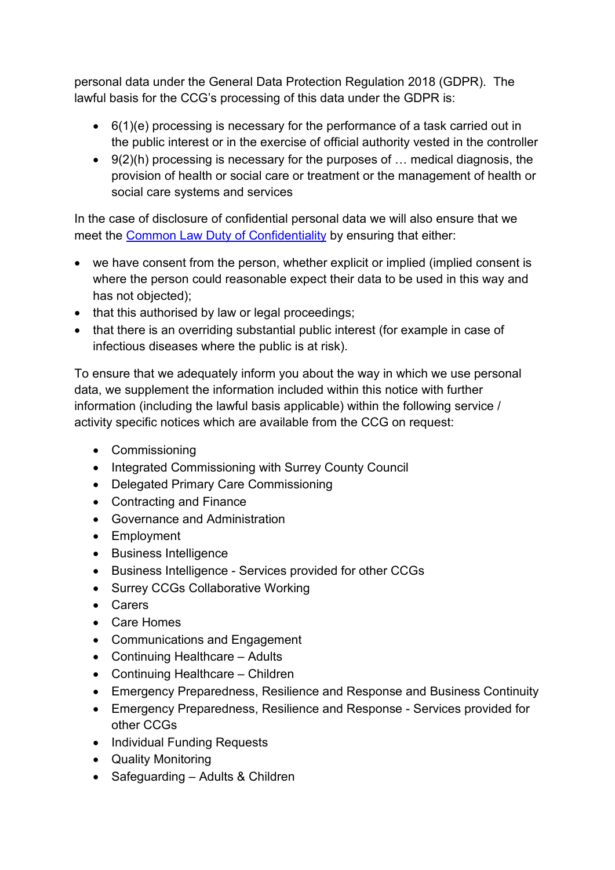personal data under the General Data Protection Regulation 2018 (GDPR). The lawful basis for the CCG's processing of this data under the GDPR is:

- 6(1)(e) processing is necessary for the performance of a task carried out in the public interest or in the exercise of official authority vested in the controller
- 9(2)(h) processing is necessary for the purposes of … medical diagnosis, the provision of health or social care or treatment or the management of health or social care systems and services

In the case of disclosure of confidential personal data we will also ensure that we meet the [Common Law Duty of Confidentiality](https://www.health-ni.gov.uk/articles/common-law-duty-confidentiality) by ensuring that either:

- we have consent from the person, whether explicit or implied (implied consent is where the person could reasonable expect their data to be used in this way and has not objected);
- that this authorised by law or legal proceedings;
- that there is an overriding substantial public interest (for example in case of infectious diseases where the public is at risk).

To ensure that we adequately inform you about the way in which we use personal data, we supplement the information included within this notice with further information (including the lawful basis applicable) within the following service / activity specific notices which are available from the CCG on request:

- Commissioning
- Integrated Commissioning with Surrey County Council
- Delegated Primary Care Commissioning
- Contracting and Finance
- Governance and Administration
- Employment
- Business Intelligence
- Business Intelligence Services provided for other CCGs
- Surrey CCGs Collaborative Working
- Carers
- Care Homes
- Communications and Engagement
- Continuing Healthcare Adults
- Continuing Healthcare Children
- Emergency Preparedness, Resilience and Response and Business Continuity
- Emergency Preparedness, Resilience and Response Services provided for other CCGs
- Individual Funding Requests
- Quality Monitoring
- Safeguarding Adults & Children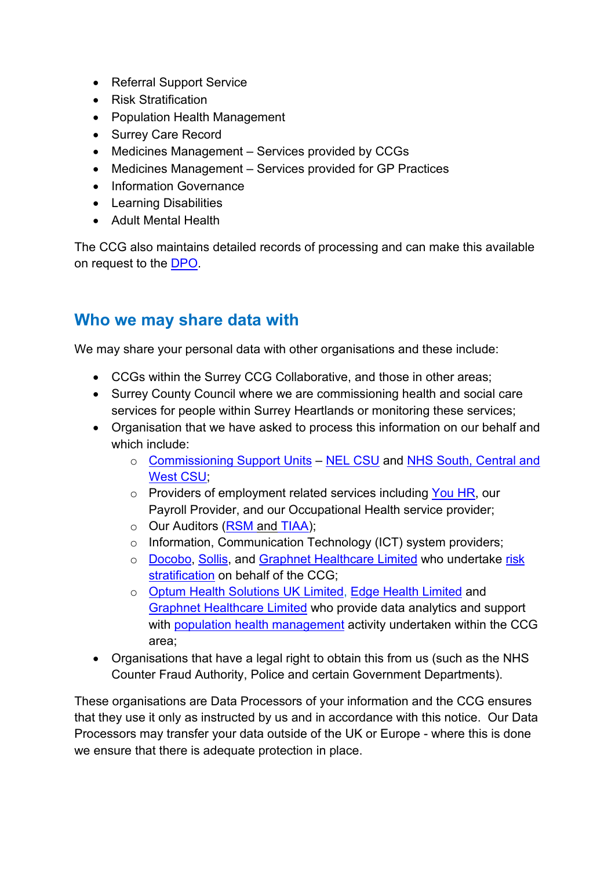- Referral Support Service
- Risk Stratification
- Population Health Management
- Surrey Care Record
- Medicines Management Services provided by CCGs
- Medicines Management Services provided for GP Practices
- Information Governance
- Learning Disabilities
- Adult Mental Health

The CCG also maintains detailed records of processing and can make this available on request to the [DPO.](mailto:daniel.lorusso@nhs.net)

### **Who we may share data with**

We may share your personal data with other organisations and these include:

- CCGs within the Surrey CCG Collaborative, and those in other areas;
- Surrey County Council where we are commissioning health and social care services for people within Surrey Heartlands or monitoring these services;
- Organisation that we have asked to process this information on our behalf and which include:
	- o [Commissioning Support Units](https://www.england.nhs.uk/commissioning/supporting-commissioners/csu/) NEL [CSU](http://www.nelcsu.nhs.uk/) and [NHS South, Central and](http://www.scwcsu.nhs.uk/)  [West CSU;](http://www.scwcsu.nhs.uk/)
	- o Providers of employment related services including [You HR,](http://www.youhrconsultancy.co.uk/) our Payroll Provider, and our Occupational Health service provider;
	- o Our Auditors [\(RSM](https://www.rsmuk.com/what-we-offer/by-service/audit-and-assurance) and TIAA);
	- o Information, Communication Technology (ICT) system providers;
	- o [Docobo,](https://www.docobo.co.uk/about-docobo.html) [Sollis,](https://www.sollis.co.uk/about-us/) and [Graphnet Healthcare Limited](https://www.graphnethealth.com/) who undertake [risk](https://www.england.nhs.uk/ig/risk-stratification/)  [stratification](https://www.england.nhs.uk/ig/risk-stratification/) on behalf of the CCG;
	- o [Optum Health Solutions UK Limited,](http://www.optum.co.uk/) [Edge Health](https://www.edgehealth.co.uk/) Limited and [Graphnet Healthcare Limited](https://www.graphnethealth.com/) who provide data analytics and support with [population health management](https://www.england.nhs.uk/integratedcare/building-blocks/phm/) activity undertaken within the CCG area;
- Organisations that have a legal right to obtain this from us (such as the NHS Counter Fraud Authority, Police and certain Government Departments).

These organisations are Data Processors of your information and the CCG ensures that they use it only as instructed by us and in accordance with this notice. Our Data Processors may transfer your data outside of the UK or Europe - where this is done we ensure that there is adequate protection in place.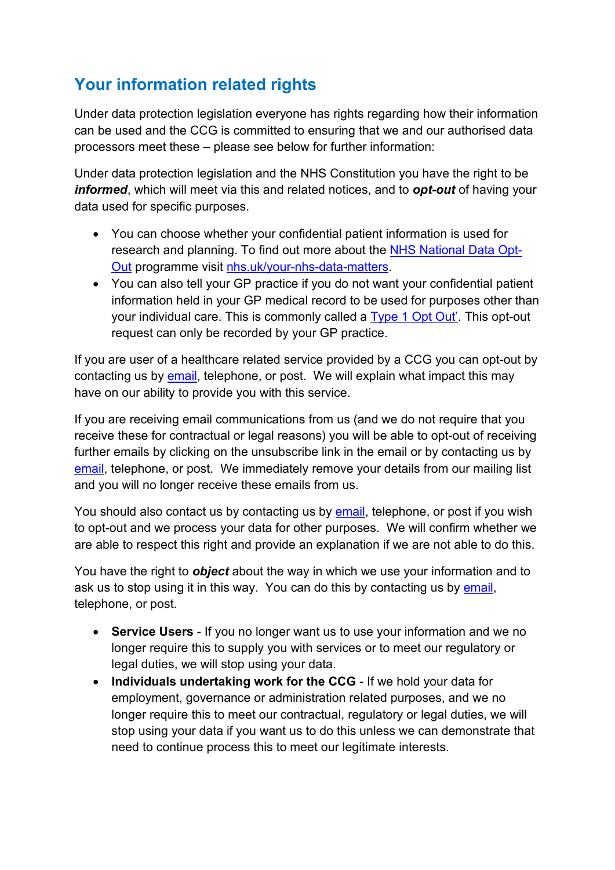# **Your information related rights**

Under data protection legislation everyone has rights regarding how their information can be used and the CCG is committed to ensuring that we and our authorised data processors meet these – please see below for further information:

Under data protection legislation and the NHS Constitution you have the right to be *informed*, which will meet via this and related notices, and to *opt-out* of having your data used for specific purposes.

- You can choose whether your confidential patient information is used for research and planning. To find out more about the [NHS National Data Opt-](https://digital.nhs.uk/services/national-data-opt-out-programme)[Out](https://digital.nhs.uk/services/national-data-opt-out-programme) programme visit [nhs.uk/your-nhs-data-matters.](https://www.nhs.uk/your-nhs-data-matters/)
- You can also tell your GP practice if you do not want your confidential patient information held in your GP medical record to be used for purposes other than your individual care. This is commonly called a [Type 1 Opt Out'.](https://digital.nhs.uk/about-nhs-digital/our-work/keeping-patient-data-safe/how-we-look-after-your-health-and-care-information/your-information-choices/opting-out-of-sharing-your-confidential-patient-information) This opt-out request can only be recorded by your GP practice.

If you are user of a healthcare related service provided by a CCG you can opt-out by contacting us by [email,](mailto:syheartlandsccg.informationgovernance@nhs.net) telephone, or post. We will explain what impact this may have on our ability to provide you with this service.

If you are receiving email communications from us (and we do not require that you receive these for contractual or legal reasons) you will be able to opt-out of receiving further emails by clicking on the unsubscribe link in the email or by contacting us by [email,](mailto:syheartlandsccg.informationgovernance@nhs.net) telephone, or post. We immediately remove your details from our mailing list and you will no longer receive these emails from us.

You should also contact us by contacting us by [email,](mailto:syheartlandsccg.informationgovernance@nhs.net) telephone, or post if you wish to opt-out and we process your data for other purposes. We will confirm whether we are able to respect this right and provide an explanation if we are not able to do this.

You have the right to *object* about the way in which we use your information and to ask us to stop using it in this way. You can do this by contacting us by [email,](mailto:syheartlandsccg.informationgovernance@nhs.net) telephone, or post.

- **Service Users** If you no longer want us to use your information and we no longer require this to supply you with services or to meet our regulatory or legal duties, we will stop using your data.
- **Individuals undertaking work for the CCG** If we hold your data for employment, governance or administration related purposes, and we no longer require this to meet our contractual, regulatory or legal duties, we will stop using your data if you want us to do this unless we can demonstrate that need to continue process this to meet our legitimate interests.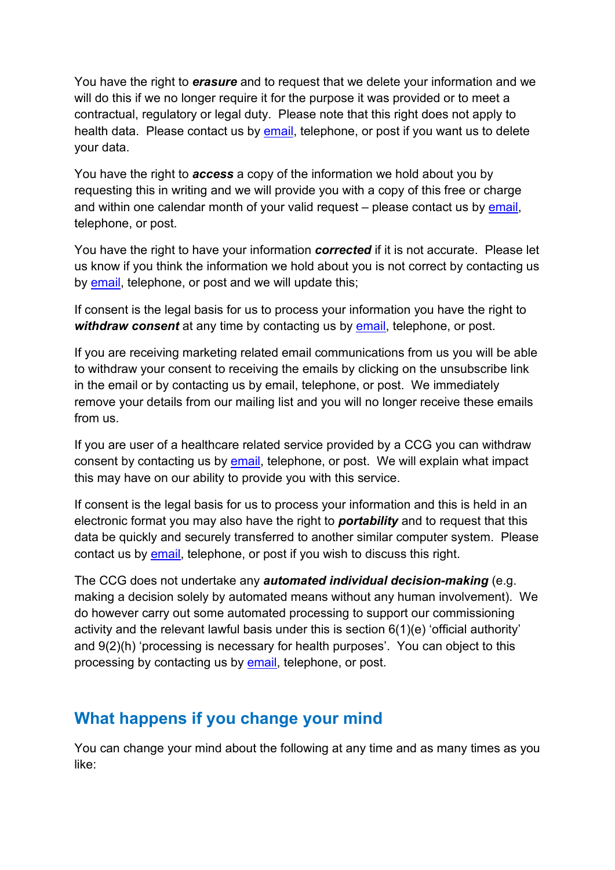You have the right to *erasure* and to request that we delete your information and we will do this if we no longer require it for the purpose it was provided or to meet a contractual, regulatory or legal duty. Please note that this right does not apply to health data. Please contact us by [email,](mailto:syheartlandsccg.informationgovernance@nhs.net) telephone, or post if you want us to delete your data.

You have the right to *access* a copy of the information we hold about you by requesting this in writing and we will provide you with a copy of this free or charge and within one calendar month of your valid request – please contact us by [email,](mailto:syheartlandsccg.informationgovernance@nhs.net) telephone, or post.

You have the right to have your information *corrected* if it is not accurate. Please let us know if you think the information we hold about you is not correct by contacting us by [email,](mailto:syheartlandsccg.informationgovernance@nhs.net) telephone, or post and we will update this;

If consent is the legal basis for us to process your information you have the right to *withdraw consent* at any time by contacting us by [email,](mailto:syheartlandsccg.informationgovernance@nhs.net) telephone, or post.

If you are receiving marketing related email communications from us you will be able to withdraw your consent to receiving the emails by clicking on the unsubscribe link in the email or by contacting us by email, telephone, or post. We immediately remove your details from our mailing list and you will no longer receive these emails from us.

If you are user of a healthcare related service provided by a CCG you can withdraw consent by contacting us by [email,](mailto:syheartlandsccg.informationgovernance@nhs.net) telephone, or post. We will explain what impact this may have on our ability to provide you with this service.

If consent is the legal basis for us to process your information and this is held in an electronic format you may also have the right to *portability* and to request that this data be quickly and securely transferred to another similar computer system. Please contact us by [email,](mailto:syheartlandsccg.informationgovernance@nhs.net) telephone, or post if you wish to discuss this right.

The CCG does not undertake any *automated individual decision-making* (e.g. making a decision solely by automated means without any human involvement). We do however carry out some automated processing to support our commissioning activity and the relevant lawful basis under this is section 6(1)(e) 'official authority' and 9(2)(h) 'processing is necessary for health purposes'. You can object to this processing by contacting us by [email,](mailto:syheartlandsccg.informationgovernance@nhs.net) telephone, or post.

### **What happens if you change your mind**

You can change your mind about the following at any time and as many times as you like: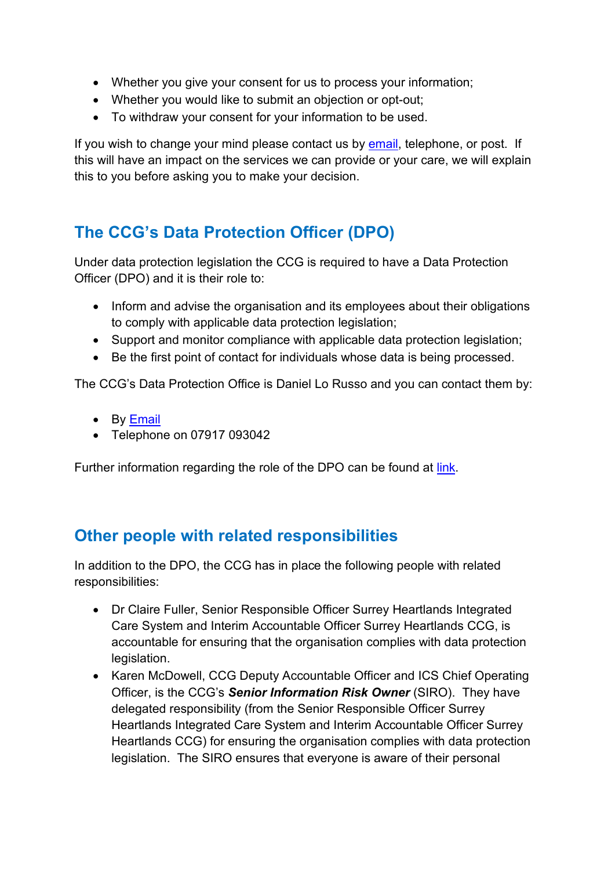- Whether you give your consent for us to process your information;
- Whether you would like to submit an objection or opt-out;
- To withdraw your consent for your information to be used.

If you wish to change your mind please contact us by [email,](mailto:syheartlandsccg.informationgovernance@nhs.net) telephone, or post. If this will have an impact on the services we can provide or your care, we will explain this to you before asking you to make your decision.

# **The CCG's Data Protection Officer (DPO)**

Under data protection legislation the CCG is required to have a Data Protection Officer (DPO) and it is their role to:

- Inform and advise the organisation and its employees about their obligations to comply with applicable data protection legislation;
- Support and monitor compliance with applicable data protection legislation;
- Be the first point of contact for individuals whose data is being processed.

The CCG's Data Protection Office is Daniel Lo Russo and you can contact them by:

- By **Email**
- Telephone on 07917 093042

Further information regarding the role of the DPO can be found at [link.](https://ico.org.uk/for-organisations/guide-to-the-general-data-protection-regulation-gdpr/accountability-and-governance/data-protection-officers/)

### **Other people with related responsibilities**

In addition to the DPO, the CCG has in place the following people with related responsibilities:

- Dr Claire Fuller, Senior Responsible Officer Surrey Heartlands Integrated Care System and Interim Accountable Officer Surrey Heartlands CCG, is accountable for ensuring that the organisation complies with data protection legislation.
- Karen McDowell, CCG Deputy Accountable Officer and ICS Chief Operating Officer, is the CCG's *Senior Information Risk Owner* (SIRO). They have delegated responsibility (from the Senior Responsible Officer Surrey Heartlands Integrated Care System and Interim Accountable Officer Surrey Heartlands CCG) for ensuring the organisation complies with data protection legislation. The SIRO ensures that everyone is aware of their personal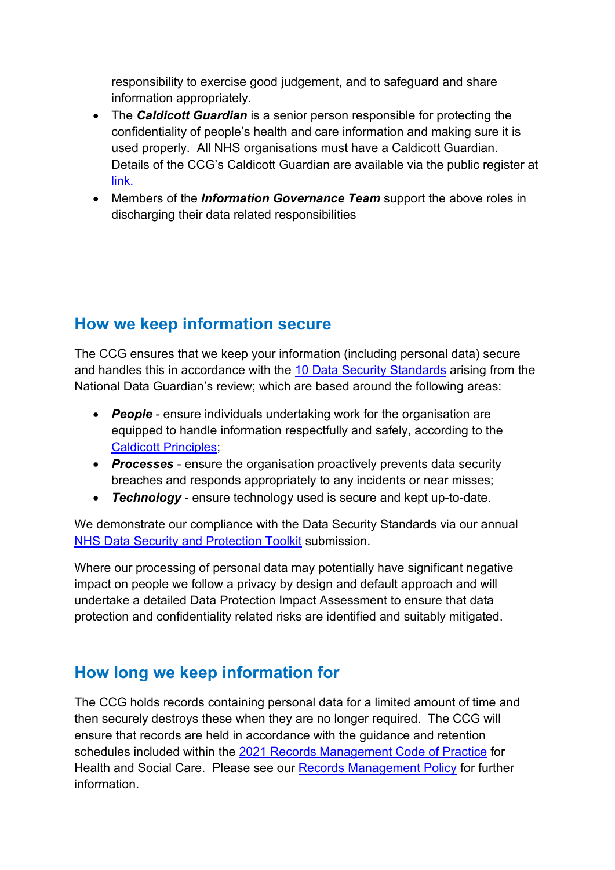responsibility to exercise good judgement, and to safeguard and share information appropriately.

- The *Caldicott Guardian* is a senior person responsible for protecting the confidentiality of people's health and care information and making sure it is used properly. All NHS organisations must have a Caldicott Guardian. Details of the CCG's Caldicott Guardian are available via the public register at [link.](https://digital.nhs.uk/services/organisation-data-service/our-services#CG)
- Members of the *Information Governance Team* support the above roles in discharging their data related responsibilities

### **How we keep information secure**

The CCG ensures that we keep your information (including personal data) secure and handles this in accordance with the [10 Data Security Standards](https://www.gov.uk/government/publications/data-security-and-protection-for-health-and-care-organisations) arising from the National Data Guardian's review; which are based around the following areas:

- *People* ensure individuals undertaking work for the organisation are equipped to handle information respectfully and safely, according to the [Caldicott Principles;](https://www.igt.hscic.gov.uk/Caldicott2Principles.aspx)
- *Processes* ensure the organisation proactively prevents data security breaches and responds appropriately to any incidents or near misses;
- *Technology* ensure technology used is secure and kept up-to-date.

We demonstrate our compliance with the Data Security Standards via our annual [NHS Data Security and Protection Toolkit](https://digital.nhs.uk/data-and-information/looking-after-information/data-security-and-information-governance/data-security-and-protection-toolkit) submission.

Where our processing of personal data may potentially have significant negative impact on people we follow a privacy by design and default approach and will undertake a detailed Data Protection Impact Assessment to ensure that data protection and confidentiality related risks are identified and suitably mitigated.

# **How long we keep information for**

The CCG holds records containing personal data for a limited amount of time and then securely destroys these when they are no longer required. The CCG will ensure that records are held in accordance with the guidance and retention schedules included within the 2021 [Records Management Code of Practice](https://www.nhsx.nhs.uk/information-governance/guidance/records-management-code/) for Health and Social Care. Please see our [Records Management Policy](http://www.surreyheartlandsccg.nhs.uk/index.php?option=com_content&view=article&id=35&Itemid=211) for further information.